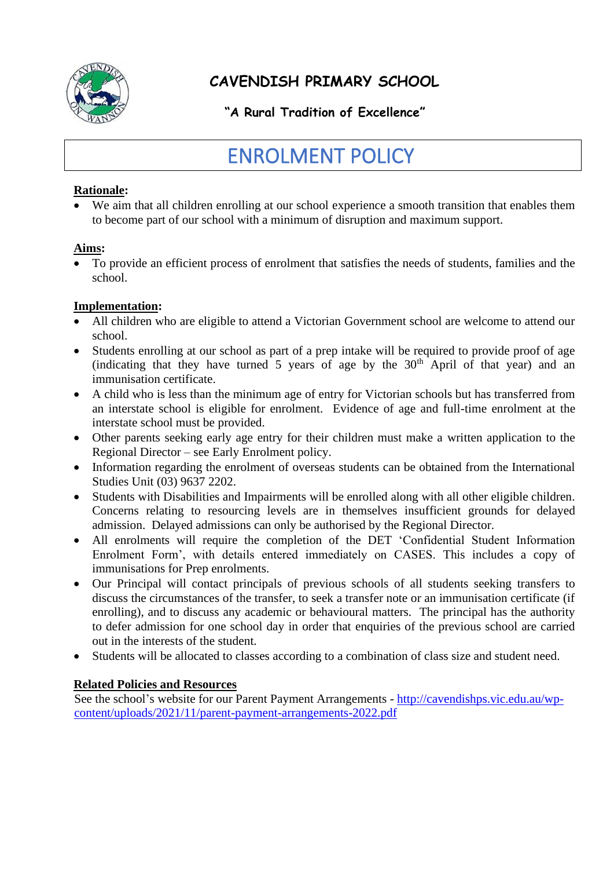

# **CAVENDISH PRIMARY SCHOOL**

## **"A Rural Tradition of Excellence"**

# ENROLMENT POLICY

#### **Rationale:**

We aim that all children enrolling at our school experience a smooth transition that enables them to become part of our school with a minimum of disruption and maximum support.

#### **Aims:**

• To provide an efficient process of enrolment that satisfies the needs of students, families and the school.

#### **Implementation:**

- All children who are eligible to attend a Victorian Government school are welcome to attend our school.
- Students enrolling at our school as part of a prep intake will be required to provide proof of age (indicating that they have turned 5 years of age by the  $30<sup>th</sup>$  April of that year) and an immunisation certificate.
- A child who is less than the minimum age of entry for Victorian schools but has transferred from an interstate school is eligible for enrolment. Evidence of age and full-time enrolment at the interstate school must be provided.
- Other parents seeking early age entry for their children must make a written application to the Regional Director – see Early Enrolment policy.
- Information regarding the enrolment of overseas students can be obtained from the International Studies Unit (03) 9637 2202.
- Students with Disabilities and Impairments will be enrolled along with all other eligible children. Concerns relating to resourcing levels are in themselves insufficient grounds for delayed admission. Delayed admissions can only be authorised by the Regional Director.
- All enrolments will require the completion of the DET 'Confidential Student Information Enrolment Form', with details entered immediately on CASES. This includes a copy of immunisations for Prep enrolments.
- Our Principal will contact principals of previous schools of all students seeking transfers to discuss the circumstances of the transfer, to seek a transfer note or an immunisation certificate (if enrolling), and to discuss any academic or behavioural matters. The principal has the authority to defer admission for one school day in order that enquiries of the previous school are carried out in the interests of the student.
- Students will be allocated to classes according to a combination of class size and student need.

#### **Related Policies and Resources**

See the school's website for our Parent Payment Arrangements - [http://cavendishps.vic.edu.au/wp](http://cavendishps.vic.edu.au/wp-content/uploads/2021/11/parent-payment-arrangements-2022.pdf)[content/uploads/2021/11/parent-payment-arrangements-2022.pdf](http://cavendishps.vic.edu.au/wp-content/uploads/2021/11/parent-payment-arrangements-2022.pdf)